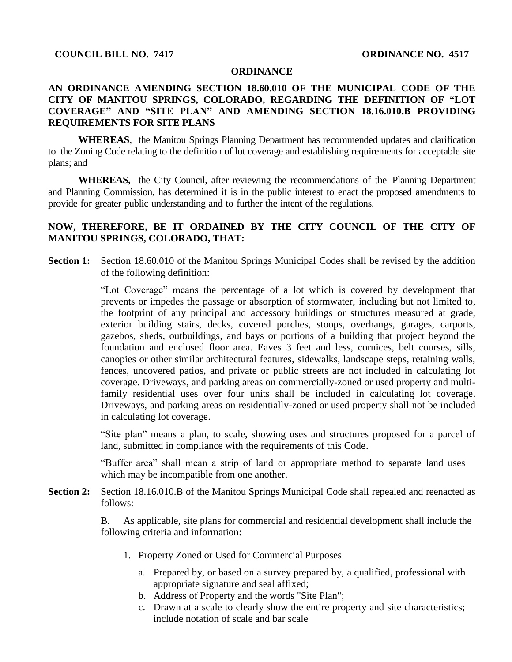## **ORDINANCE**

## **AN ORDINANCE AMENDING SECTION 18.60.010 OF THE MUNICIPAL CODE OF THE CITY OF MANITOU SPRINGS, COLORADO, REGARDING THE DEFINITION OF "LOT COVERAGE" AND "SITE PLAN" AND AMENDING SECTION 18.16.010.B PROVIDING REQUIREMENTS FOR SITE PLANS**

**WHEREAS**, the Manitou Springs Planning Department has recommended updates and clarification to the Zoning Code relating to the definition of lot coverage and establishing requirements for acceptable site plans; and

**WHEREAS,** the City Council, after reviewing the recommendations of the Planning Department and Planning Commission, has determined it is in the public interest to enact the proposed amendments to provide for greater public understanding and to further the intent of the regulations.

## **NOW, THEREFORE, BE IT ORDAINED BY THE CITY COUNCIL OF THE CITY OF MANITOU SPRINGS, COLORADO, THAT:**

**Section 1:** Section 18.60.010 of the Manitou Springs Municipal Codes shall be revised by the addition of the following definition:

> "Lot Coverage" means the percentage of a lot which is covered by development that prevents or impedes the passage or absorption of stormwater, including but not limited to, the footprint of any principal and accessory buildings or structures measured at grade, exterior building stairs, decks, covered porches, stoops, overhangs, garages, carports, gazebos, sheds, outbuildings, and bays or portions of a building that project beyond the foundation and enclosed floor area. Eaves 3 feet and less, cornices, belt courses, sills, canopies or other similar architectural features, sidewalks, landscape steps, retaining walls, fences, uncovered patios, and private or public streets are not included in calculating lot coverage. Driveways, and parking areas on commercially-zoned or used property and multifamily residential uses over four units shall be included in calculating lot coverage. Driveways, and parking areas on residentially-zoned or used property shall not be included in calculating lot coverage.

> "Site plan" means a plan, to scale, showing uses and structures proposed for a parcel of land, submitted in compliance with the requirements of this Code.

"Buffer area" shall mean a strip of land or appropriate method to separate land uses which may be incompatible from one another.

**Section 2:** Section 18.16.010.B of the Manitou Springs Municipal Code shall repealed and reenacted as follows:

> B. As applicable, site plans for commercial and residential development shall include the following criteria and information:

- 1. Property Zoned or Used for Commercial Purposes
	- a. Prepared by, or based on a survey prepared by, a qualified, professional with appropriate signature and seal affixed;
	- b. Address of Property and the words "Site Plan";
	- c. Drawn at a scale to clearly show the entire property and site characteristics; include notation of scale and bar scale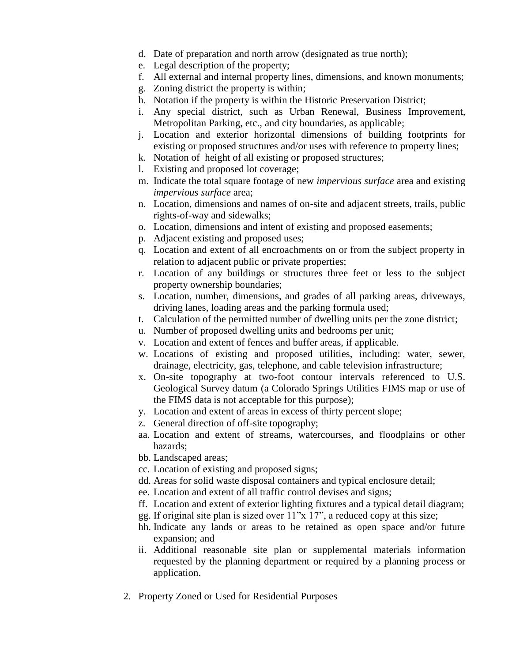- d. Date of preparation and north arrow (designated as true north);
- e. Legal description of the property;
- f. All external and internal property lines, dimensions, and known monuments;
- g. Zoning district the property is within;
- h. Notation if the property is within the Historic Preservation District;
- i. Any special district, such as Urban Renewal, Business Improvement, Metropolitan Parking, etc., and city boundaries, as applicable;
- j. Location and exterior horizontal dimensions of building footprints for existing or proposed structures and/or uses with reference to property lines;
- k. Notation of height of all existing or proposed structures;
- l. Existing and proposed lot coverage;
- m. Indicate the total square footage of new *impervious surface* area and existing *impervious surface* area;
- n. Location, dimensions and names of on-site and adjacent streets, trails, public rights-of-way and sidewalks;
- o. Location, dimensions and intent of existing and proposed easements;
- p. Adjacent existing and proposed uses;
- q. Location and extent of all encroachments on or from the subject property in relation to adjacent public or private properties;
- r. Location of any buildings or structures three feet or less to the subject property ownership boundaries;
- s. Location, number, dimensions, and grades of all parking areas, driveways, driving lanes, loading areas and the parking formula used;
- t. Calculation of the permitted number of dwelling units per the zone district;
- u. Number of proposed dwelling units and bedrooms per unit;
- v. Location and extent of fences and buffer areas, if applicable.
- w. Locations of existing and proposed utilities, including: water, sewer, drainage, electricity, gas, telephone, and cable television infrastructure;
- x. On-site topography at two-foot contour intervals referenced to U.S. Geological Survey datum (a Colorado Springs Utilities FIMS map or use of the FIMS data is not acceptable for this purpose);
- y. Location and extent of areas in excess of thirty percent slope;
- z. General direction of off-site topography;
- aa. Location and extent of streams, watercourses, and floodplains or other hazards;
- bb. Landscaped areas;
- cc. Location of existing and proposed signs;
- dd. Areas for solid waste disposal containers and typical enclosure detail;
- ee. Location and extent of all traffic control devises and signs;
- ff. Location and extent of exterior lighting fixtures and a typical detail diagram;
- gg. If original site plan is sized over 11"x 17", a reduced copy at this size;
- hh. Indicate any lands or areas to be retained as open space and/or future expansion; and
- ii. Additional reasonable site plan or supplemental materials information requested by the planning department or required by a planning process or application.
- 2. Property Zoned or Used for Residential Purposes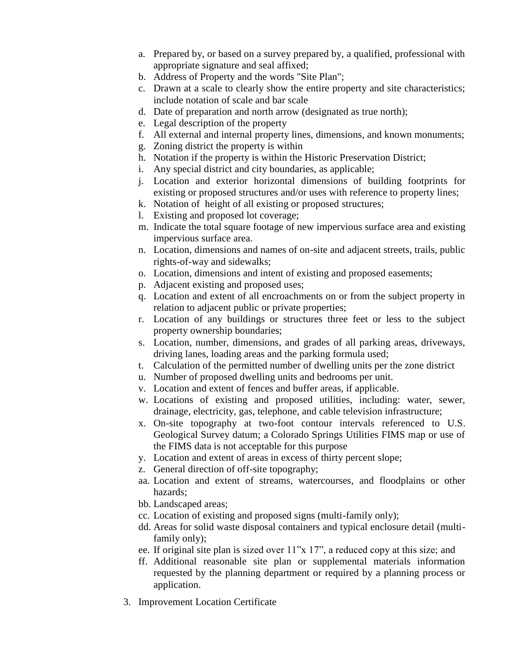- a. Prepared by, or based on a survey prepared by, a qualified, professional with appropriate signature and seal affixed;
- b. Address of Property and the words "Site Plan";
- c. Drawn at a scale to clearly show the entire property and site characteristics; include notation of scale and bar scale
- d. Date of preparation and north arrow (designated as true north);
- e. Legal description of the property
- f. All external and internal property lines, dimensions, and known monuments;
- g. Zoning district the property is within
- h. Notation if the property is within the Historic Preservation District;
- i. Any special district and city boundaries, as applicable;
- j. Location and exterior horizontal dimensions of building footprints for existing or proposed structures and/or uses with reference to property lines;
- k. Notation of height of all existing or proposed structures;
- l. Existing and proposed lot coverage;
- m. Indicate the total square footage of new impervious surface area and existing impervious surface area.
- n. Location, dimensions and names of on-site and adjacent streets, trails, public rights-of-way and sidewalks;
- o. Location, dimensions and intent of existing and proposed easements;
- p. Adjacent existing and proposed uses;
- q. Location and extent of all encroachments on or from the subject property in relation to adjacent public or private properties;
- r. Location of any buildings or structures three feet or less to the subject property ownership boundaries;
- s. Location, number, dimensions, and grades of all parking areas, driveways, driving lanes, loading areas and the parking formula used;
- t. Calculation of the permitted number of dwelling units per the zone district
- u. Number of proposed dwelling units and bedrooms per unit.
- v. Location and extent of fences and buffer areas, if applicable.
- w. Locations of existing and proposed utilities, including: water, sewer, drainage, electricity, gas, telephone, and cable television infrastructure;
- x. On-site topography at two-foot contour intervals referenced to U.S. Geological Survey datum; a Colorado Springs Utilities FIMS map or use of the FIMS data is not acceptable for this purpose
- y. Location and extent of areas in excess of thirty percent slope;
- z. General direction of off-site topography;
- aa. Location and extent of streams, watercourses, and floodplains or other hazards;
- bb. Landscaped areas;
- cc. Location of existing and proposed signs (multi-family only);
- dd. Areas for solid waste disposal containers and typical enclosure detail (multifamily only);
- ee. If original site plan is sized over 11"x 17", a reduced copy at this size; and
- ff. Additional reasonable site plan or supplemental materials information requested by the planning department or required by a planning process or application.
- 3. Improvement Location Certificate